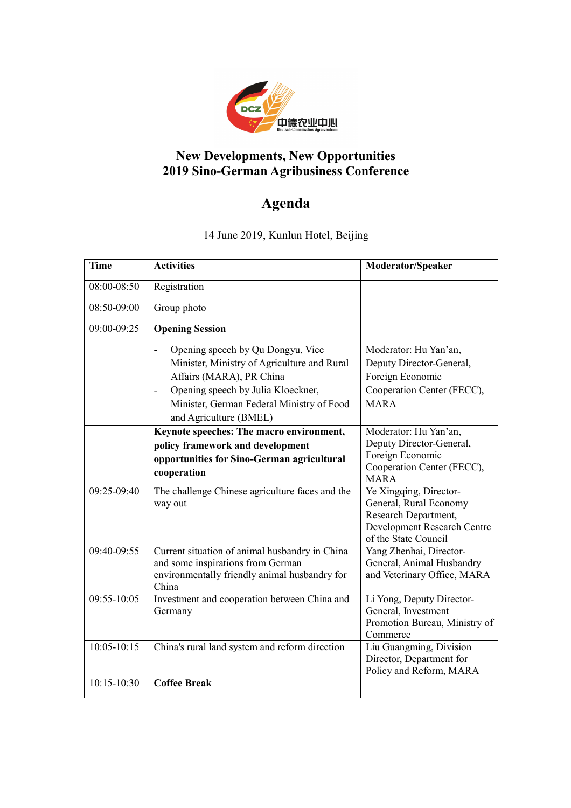

## **New Developments, New Opportunities 2019 Sino-German Agribusiness Conference**

## **Agenda**

14 June 2019, Kunlun Hotel, Beijing

| <b>Time</b>   | <b>Activities</b>                               | <b>Moderator/Speaker</b>                            |
|---------------|-------------------------------------------------|-----------------------------------------------------|
| 08:00-08:50   | Registration                                    |                                                     |
| 08:50-09:00   | Group photo                                     |                                                     |
| 09:00-09:25   | <b>Opening Session</b>                          |                                                     |
|               | Opening speech by Qu Dongyu, Vice               | Moderator: Hu Yan'an,                               |
|               | Minister, Ministry of Agriculture and Rural     | Deputy Director-General,                            |
|               | Affairs (MARA), PR China                        | Foreign Economic                                    |
|               | Opening speech by Julia Kloeckner,              | Cooperation Center (FECC),                          |
|               | Minister, German Federal Ministry of Food       | <b>MARA</b>                                         |
|               | and Agriculture (BMEL)                          |                                                     |
|               | Keynote speeches: The macro environment,        | Moderator: Hu Yan'an,                               |
|               | policy framework and development                | Deputy Director-General,                            |
|               | opportunities for Sino-German agricultural      | Foreign Economic                                    |
|               | cooperation                                     | Cooperation Center (FECC),<br><b>MARA</b>           |
| 09:25-09:40   | The challenge Chinese agriculture faces and the | Ye Xingqing, Director-                              |
|               | way out                                         | General, Rural Economy                              |
|               |                                                 | Research Department,                                |
|               |                                                 | Development Research Centre                         |
| 09:40-09:55   | Current situation of animal husbandry in China  | of the State Council<br>Yang Zhenhai, Director-     |
|               | and some inspirations from German               | General, Animal Husbandry                           |
|               | environmentally friendly animal husbandry for   | and Veterinary Office, MARA                         |
|               | China                                           |                                                     |
| 09:55-10:05   | Investment and cooperation between China and    | Li Yong, Deputy Director-                           |
|               | Germany                                         | General, Investment                                 |
|               |                                                 | Promotion Bureau, Ministry of                       |
|               |                                                 | Commerce                                            |
| $10:05-10:15$ | China's rural land system and reform direction  | Liu Guangming, Division<br>Director, Department for |
|               |                                                 | Policy and Reform, MARA                             |
| 10:15-10:30   | <b>Coffee Break</b>                             |                                                     |
|               |                                                 |                                                     |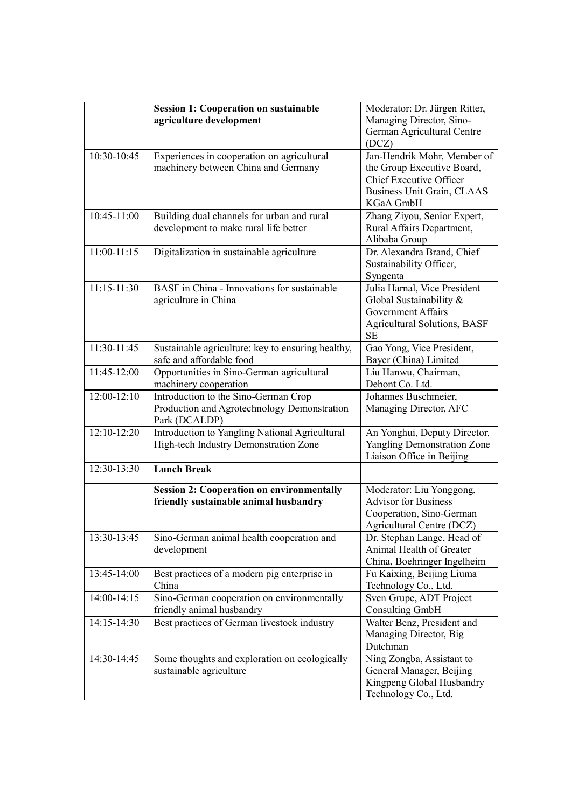|                 | <b>Session 1: Cooperation on sustainable</b>      | Moderator: Dr. Jürgen Ritter,       |
|-----------------|---------------------------------------------------|-------------------------------------|
|                 | agriculture development                           | Managing Director, Sino-            |
|                 |                                                   | German Agricultural Centre          |
|                 |                                                   | (DCZ)                               |
| 10:30-10:45     | Experiences in cooperation on agricultural        | Jan-Hendrik Mohr, Member of         |
|                 | machinery between China and Germany               | the Group Executive Board,          |
|                 |                                                   | Chief Executive Officer             |
|                 |                                                   | Business Unit Grain, CLAAS          |
|                 |                                                   | KGaA GmbH                           |
| 10:45-11:00     | Building dual channels for urban and rural        | Zhang Ziyou, Senior Expert,         |
|                 | development to make rural life better             | Rural Affairs Department,           |
|                 |                                                   | Alibaba Group                       |
| $11:00 - 11:15$ | Digitalization in sustainable agriculture         | Dr. Alexandra Brand, Chief          |
|                 |                                                   | Sustainability Officer,             |
|                 |                                                   | Syngenta                            |
| $11:15 - 11:30$ | BASF in China - Innovations for sustainable       | Julia Harnal, Vice President        |
|                 | agriculture in China                              | Global Sustainability &             |
|                 |                                                   | <b>Government Affairs</b>           |
|                 |                                                   | <b>Agricultural Solutions, BASF</b> |
|                 |                                                   | <b>SE</b>                           |
| 11:30-11:45     | Sustainable agriculture: key to ensuring healthy, | Gao Yong, Vice President,           |
|                 | safe and affordable food                          | Bayer (China) Limited               |
| 11:45-12:00     | Opportunities in Sino-German agricultural         | Liu Hanwu, Chairman,                |
|                 | machinery cooperation                             | Debont Co. Ltd.                     |
| 12:00-12:10     | Introduction to the Sino-German Crop              | Johannes Buschmeier,                |
|                 | Production and Agrotechnology Demonstration       | Managing Director, AFC              |
|                 | Park (DCALDP)                                     |                                     |
| 12:10-12:20     | Introduction to Yangling National Agricultural    | An Yonghui, Deputy Director,        |
|                 | High-tech Industry Demonstration Zone             | Yangling Demonstration Zone         |
|                 |                                                   | Liaison Office in Beijing           |
| 12:30-13:30     | <b>Lunch Break</b>                                |                                     |
|                 | <b>Session 2: Cooperation on environmentally</b>  | Moderator: Liu Yonggong,            |
|                 | friendly sustainable animal husbandry             | <b>Advisor for Business</b>         |
|                 |                                                   | Cooperation, Sino-German            |
|                 |                                                   | Agricultural Centre (DCZ)           |
| 13:30-13:45     | Sino-German animal health cooperation and         | Dr. Stephan Lange, Head of          |
|                 | development                                       | Animal Health of Greater            |
|                 |                                                   | China, Boehringer Ingelheim         |
| 13:45-14:00     | Best practices of a modern pig enterprise in      | Fu Kaixing, Beijing Liuma           |
|                 | China                                             | Technology Co., Ltd.                |
| 14:00-14:15     | Sino-German cooperation on environmentally        | Sven Grupe, ADT Project             |
|                 | friendly animal husbandry                         | <b>Consulting GmbH</b>              |
| 14:15-14:30     | Best practices of German livestock industry       | Walter Benz, President and          |
|                 |                                                   | Managing Director, Big              |
|                 |                                                   | Dutchman                            |
| 14:30-14:45     | Some thoughts and exploration on ecologically     | Ning Zongba, Assistant to           |
|                 | sustainable agriculture                           | General Manager, Beijing            |
|                 |                                                   | Kingpeng Global Husbandry           |
|                 |                                                   | Technology Co., Ltd.                |